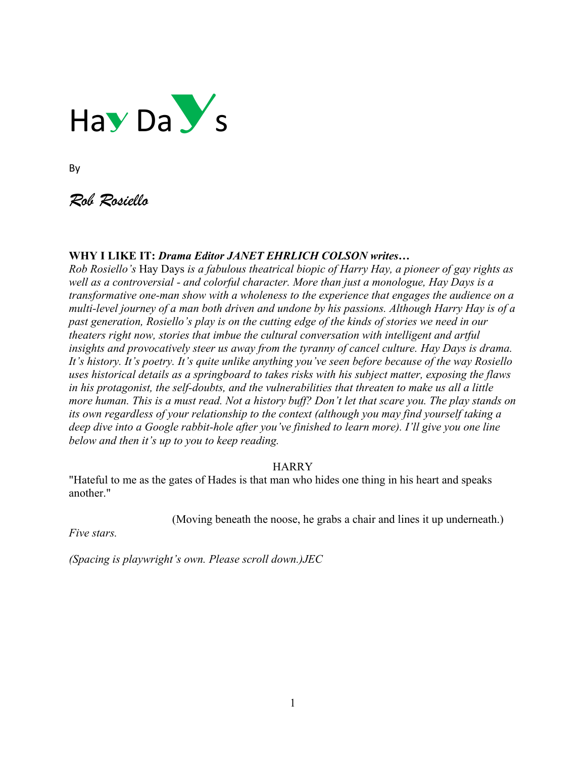

By

*Rob Rosiello*

## **WHY I LIKE IT:** *Drama Editor JANET EHRLICH COLSON writes…*

*Rob Rosiello's* Hay Days *is a fabulous theatrical biopic of Harry Hay, a pioneer of gay rights as well as a controversial - and colorful character. More than just a monologue, Hay Days is a transformative one-man show with a wholeness to the experience that engages the audience on a multi-level journey of a man both driven and undone by his passions. Although Harry Hay is of a past generation, Rosiello's play is on the cutting edge of the kinds of stories we need in our theaters right now, stories that imbue the cultural conversation with intelligent and artful insights and provocatively steer us away from the tyranny of cancel culture. Hay Days is drama. It's history. It's poetry. It's quite unlike anything you've seen before because of the way Rosiello uses historical details as a springboard to takes risks with his subject matter, exposing the flaws in his protagonist, the self-doubts, and the vulnerabilities that threaten to make us all a little more human. This is a must read. Not a history buff? Don't let that scare you. The play stands on its own regardless of your relationship to the context (although you may find yourself taking a deep dive into a Google rabbit-hole after you've finished to learn more). I'll give you one line below and then it's up to you to keep reading.* 

#### **HARRY**

"Hateful to me as the gates of Hades is that man who hides one thing in his heart and speaks another."

(Moving beneath the noose, he grabs a chair and lines it up underneath.)

*Five stars.*

*(Spacing is playwright's own. Please scroll down.)JEC*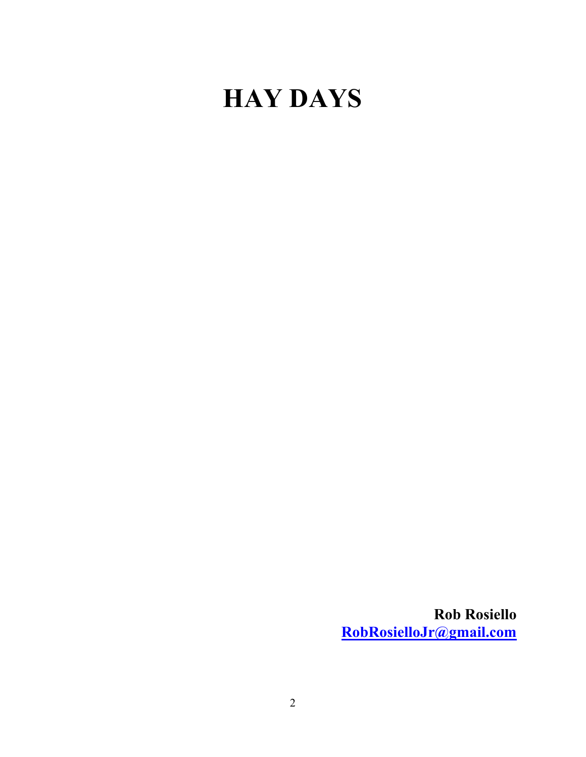# **HAY DAYS**

**Rob Rosiello [RobRosielloJr@gmail.com](mailto:RobRosielloJr@gmail.com)**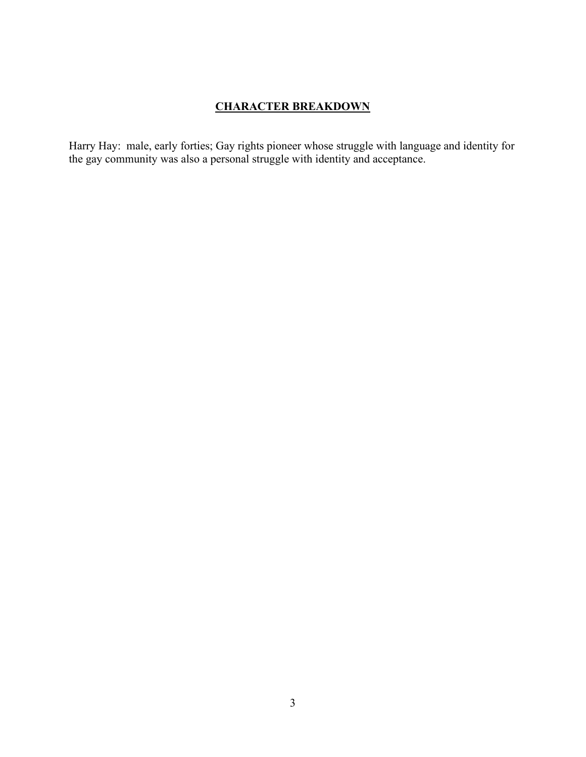## **CHARACTER BREAKDOWN**

Harry Hay: male, early forties; Gay rights pioneer whose struggle with language and identity for the gay community was also a personal struggle with identity and acceptance.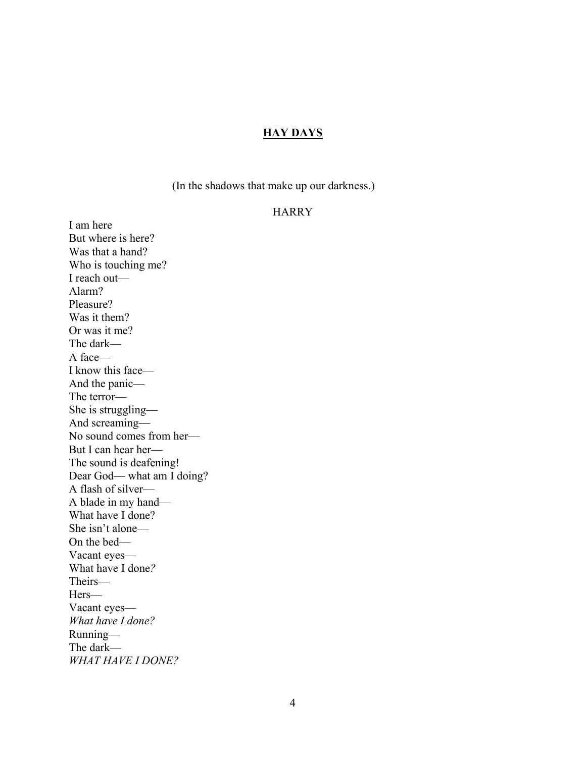#### **HAY DAYS**

(In the shadows that make up our darkness.)

#### HARRY

I am here But where is here? Was that a hand? Who is touching me? I reach out— Alarm? Pleasure? Was it them? Or was it me? The dark— A face— I know this face— And the panic— The terror— She is struggling— And screaming— No sound comes from her— But I can hear her— The sound is deafening! Dear God— what am I doing? A flash of silver— A blade in my hand— What have I done? She isn't alone— On the bed— Vacant eyes— What have I done*?* Theirs— Hers— Vacant eyes— *What have I done?* Running— The dark— *WHAT HAVE I DONE?*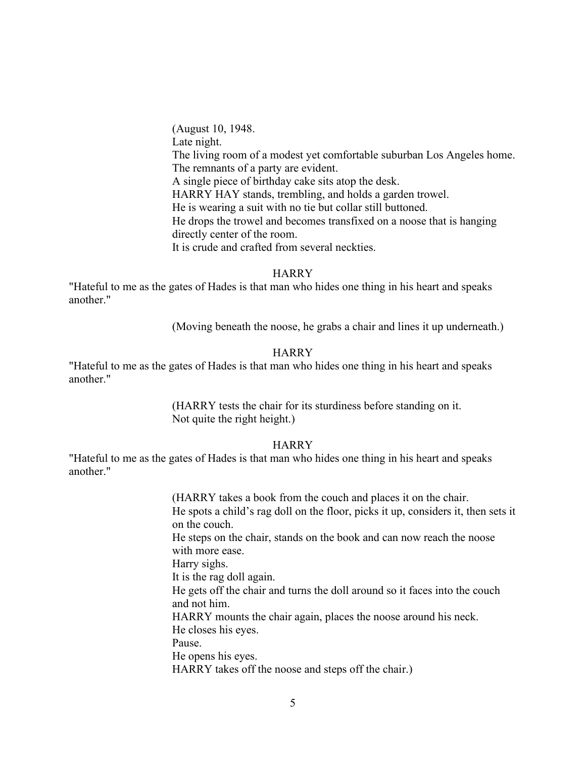(August 10, 1948. Late night. The living room of a modest yet comfortable suburban Los Angeles home. The remnants of a party are evident. A single piece of birthday cake sits atop the desk. HARRY HAY stands, trembling, and holds a garden trowel. He is wearing a suit with no tie but collar still buttoned. He drops the trowel and becomes transfixed on a noose that is hanging directly center of the room. It is crude and crafted from several neckties.

#### **HARRY**

"Hateful to me as the gates of Hades is that man who hides one thing in his heart and speaks another."

(Moving beneath the noose, he grabs a chair and lines it up underneath.)

#### **HARRY**

"Hateful to me as the gates of Hades is that man who hides one thing in his heart and speaks another."

> (HARRY tests the chair for its sturdiness before standing on it. Not quite the right height.)

#### HARRY

"Hateful to me as the gates of Hades is that man who hides one thing in his heart and speaks another."

> (HARRY takes a book from the couch and places it on the chair. He spots a child's rag doll on the floor, picks it up, considers it, then sets it on the couch. He steps on the chair, stands on the book and can now reach the noose with more ease. Harry sighs. It is the rag doll again. He gets off the chair and turns the doll around so it faces into the couch and not him. HARRY mounts the chair again, places the noose around his neck. He closes his eyes. Pause. He opens his eyes. HARRY takes off the noose and steps off the chair.)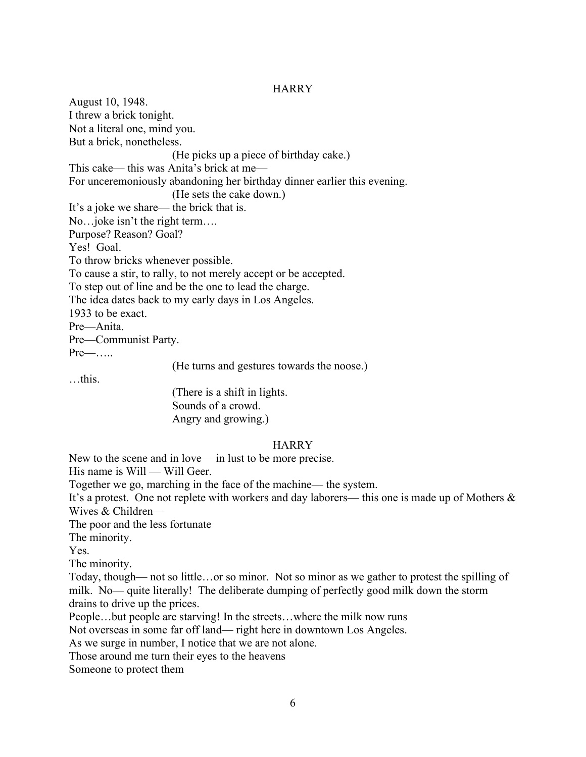#### **HARRY**

August 10, 1948. I threw a brick tonight. Not a literal one, mind you. But a brick, nonetheless. (He picks up a piece of birthday cake.) This cake— this was Anita's brick at me— For unceremoniously abandoning her birthday dinner earlier this evening. (He sets the cake down.) It's a joke we share— the brick that is. No…joke isn't the right term…. Purpose? Reason? Goal? Yes! Goal. To throw bricks whenever possible. To cause a stir, to rally, to not merely accept or be accepted. To step out of line and be the one to lead the charge. The idea dates back to my early days in Los Angeles. 1933 to be exact. Pre—Anita. Pre—Communist Party. Pre—….. (He turns and gestures towards the noose.)

…this.

(There is a shift in lights. Sounds of a crowd. Angry and growing.)

## **HARRY**

New to the scene and in love— in lust to be more precise.

His name is Will — Will Geer.

Together we go, marching in the face of the machine— the system.

It's a protest. One not replete with workers and day laborers— this one is made up of Mothers & Wives & Children—

The poor and the less fortunate

The minority.

Yes.

The minority.

Today, though— not so little…or so minor. Not so minor as we gather to protest the spilling of milk. No— quite literally! The deliberate dumping of perfectly good milk down the storm drains to drive up the prices.

People…but people are starving! In the streets…where the milk now runs

Not overseas in some far off land— right here in downtown Los Angeles.

As we surge in number, I notice that we are not alone.

Those around me turn their eyes to the heavens

Someone to protect them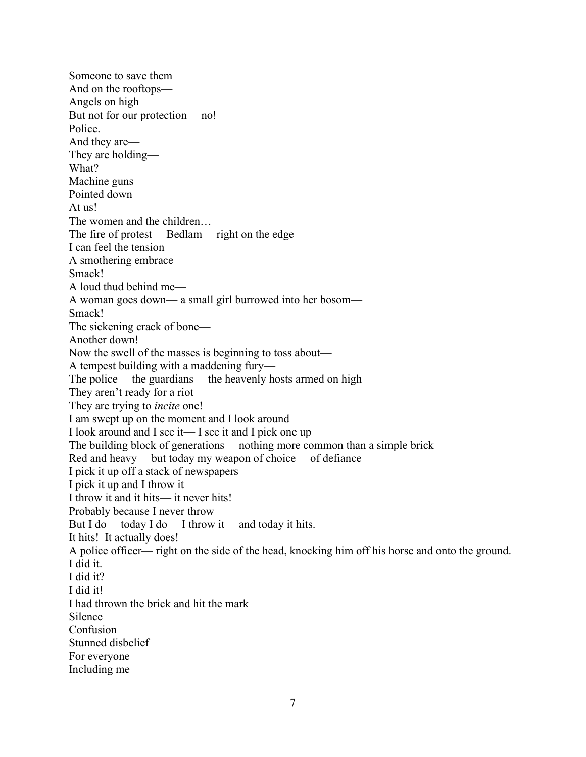Someone to save them And on the rooftops— Angels on high But not for our protection— no! Police. And they are— They are holding— What? Machine guns— Pointed down— At us! The women and the children… The fire of protest— Bedlam— right on the edge I can feel the tension— A smothering embrace— Smack! A loud thud behind me— A woman goes down— a small girl burrowed into her bosom— Smack! The sickening crack of bone— Another down! Now the swell of the masses is beginning to toss about— A tempest building with a maddening fury— The police— the guardians— the heavenly hosts armed on high— They aren't ready for a riot— They are trying to *incite* one! I am swept up on the moment and I look around I look around and I see it— I see it and I pick one up The building block of generations— nothing more common than a simple brick Red and heavy— but today my weapon of choice— of defiance I pick it up off a stack of newspapers I pick it up and I throw it I throw it and it hits— it never hits! Probably because I never throw— But I do— today I do— I throw it— and today it hits. It hits! It actually does! A police officer— right on the side of the head, knocking him off his horse and onto the ground. I did it. I did it? I did it! I had thrown the brick and hit the mark Silence Confusion Stunned disbelief For everyone Including me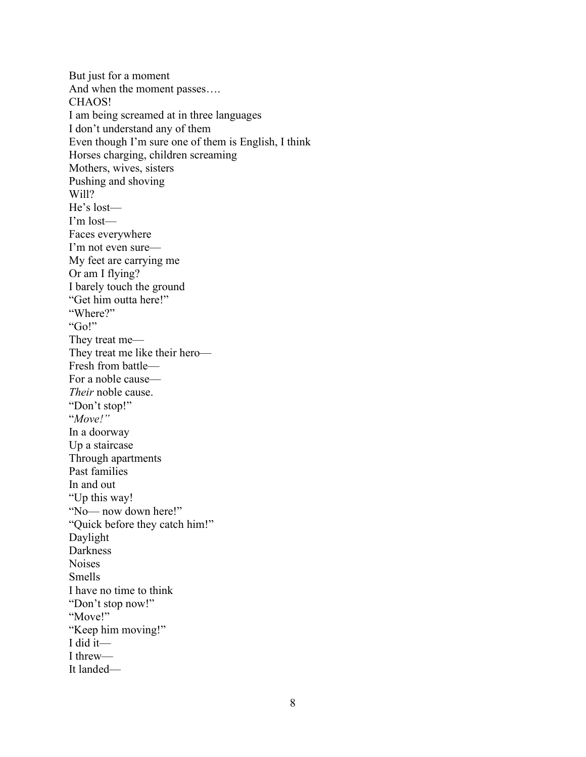But just for a moment And when the moment passes…. CHAOS! I am being screamed at in three languages I don't understand any of them Even though I'm sure one of them is English, I think Horses charging, children screaming Mothers, wives, sisters Pushing and shoving Will? He's lost— I'm lost— Faces everywhere I'm not even sure— My feet are carrying me Or am I flying? I barely touch the ground "Get him outta here!" "Where?" "Go!" They treat me— They treat me like their hero— Fresh from battle— For a noble cause— *Their* noble cause. "Don't stop!" "*Move!"* In a doorway Up a staircase Through apartments Past families In and out "Up this way! "No— now down here!" "Quick before they catch him!" Daylight Darkness Noises Smells I have no time to think "Don't stop now!" "Move!" "Keep him moving!" I did it— I threw— It landed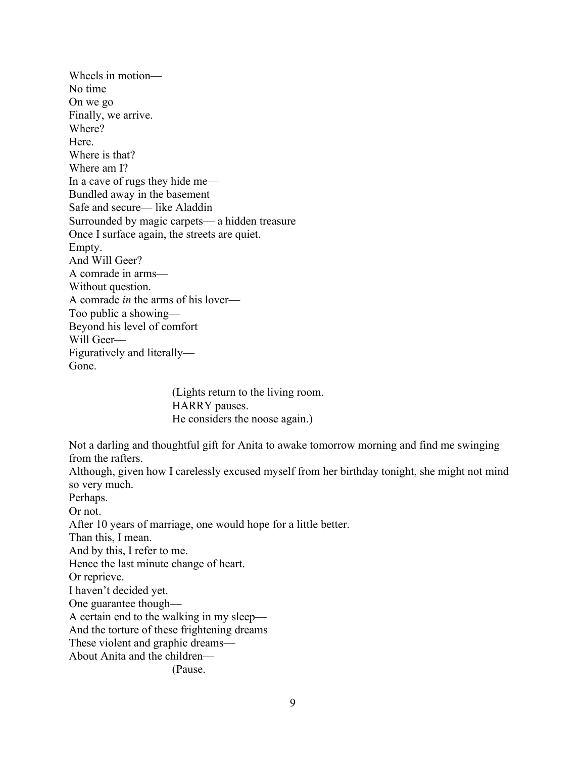Wheels in motion— No time On we go Finally, we arrive. Where? Here. Where is that? Where am I? In a cave of rugs they hide me— Bundled away in the basement Safe and secure— like Aladdin Surrounded by magic carpets— a hidden treasure Once I surface again, the streets are quiet. Empty. And Will Geer? A comrade in arms— Without question. A comrade *in* the arms of his lover— Too public a showing— Beyond his level of comfort Will Geer— Figuratively and literally— Gone.

> (Lights return to the living room. HARRY pauses. He considers the noose again.)

Not a darling and thoughtful gift for Anita to awake tomorrow morning and find me swinging from the rafters.

Although, given how I carelessly excused myself from her birthday tonight, she might not mind so very much.

Perhaps.

Or not.

After 10 years of marriage, one would hope for a little better.

Than this, I mean.

And by this, I refer to me.

Hence the last minute change of heart.

Or reprieve.

I haven't decided yet.

One guarantee though—

A certain end to the walking in my sleep—

And the torture of these frightening dreams

These violent and graphic dreams—

About Anita and the children—

(Pause.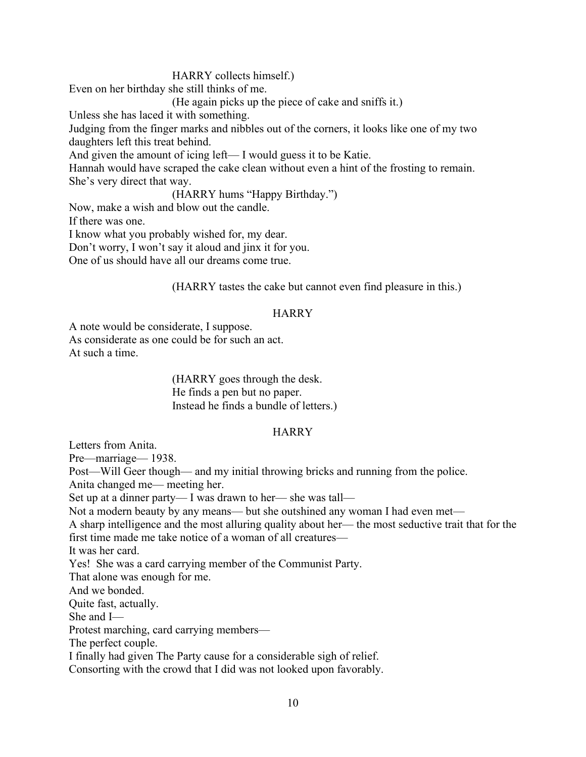## HARRY collects himself.)

Even on her birthday she still thinks of me.

(He again picks up the piece of cake and sniffs it.)

Unless she has laced it with something.

Judging from the finger marks and nibbles out of the corners, it looks like one of my two daughters left this treat behind.

And given the amount of icing left— I would guess it to be Katie.

Hannah would have scraped the cake clean without even a hint of the frosting to remain. She's very direct that way.

(HARRY hums "Happy Birthday.")

Now, make a wish and blow out the candle.

If there was one.

I know what you probably wished for, my dear.

Don't worry, I won't say it aloud and jinx it for you.

One of us should have all our dreams come true.

(HARRY tastes the cake but cannot even find pleasure in this.)

#### HARRY

A note would be considerate, I suppose. As considerate as one could be for such an act. At such a time.

> (HARRY goes through the desk. He finds a pen but no paper. Instead he finds a bundle of letters.)

## **HARRY**

Letters from Anita.

Pre—marriage— 1938.

Post—Will Geer though— and my initial throwing bricks and running from the police. Anita changed me— meeting her.

Set up at a dinner party— I was drawn to her— she was tall—

Not a modern beauty by any means— but she outshined any woman I had even met—

A sharp intelligence and the most alluring quality about her— the most seductive trait that for the first time made me take notice of a woman of all creatures—

It was her card.

Yes! She was a card carrying member of the Communist Party.

That alone was enough for me.

And we bonded.

Quite fast, actually.

She and I—

Protest marching, card carrying members—

The perfect couple.

I finally had given The Party cause for a considerable sigh of relief.

Consorting with the crowd that I did was not looked upon favorably.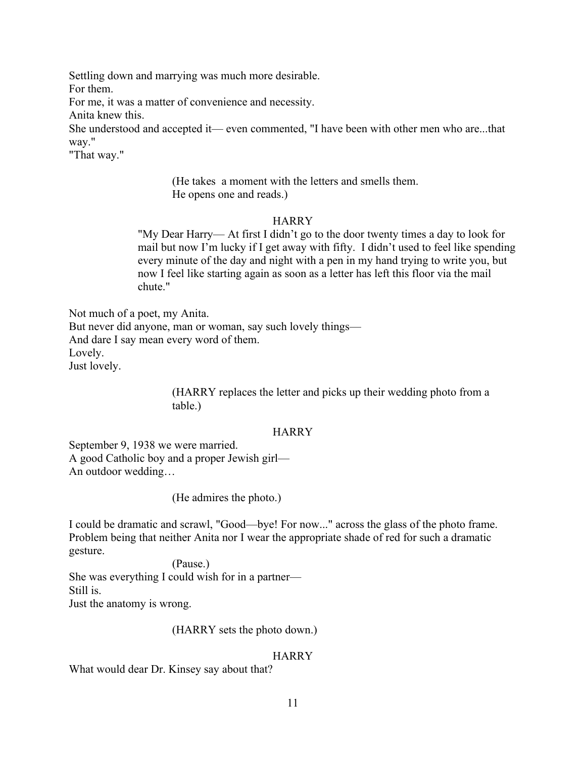Settling down and marrying was much more desirable. For them.

For me, it was a matter of convenience and necessity.

Anita knew this.

She understood and accepted it— even commented, "I have been with other men who are...that way."

"That way."

 (He takes a moment with the letters and smells them. He opens one and reads.)

## **HARRY**

"My Dear Harry— At first I didn't go to the door twenty times a day to look for mail but now I'm lucky if I get away with fifty. I didn't used to feel like spending every minute of the day and night with a pen in my hand trying to write you, but now I feel like starting again as soon as a letter has left this floor via the mail chute."

Not much of a poet, my Anita. But never did anyone, man or woman, say such lovely things— And dare I say mean every word of them. Lovely. Just lovely.

> (HARRY replaces the letter and picks up their wedding photo from a table.)

## **HARRY**

September 9, 1938 we were married. A good Catholic boy and a proper Jewish girl— An outdoor wedding…

(He admires the photo.)

I could be dramatic and scrawl, "Good—bye! For now..." across the glass of the photo frame. Problem being that neither Anita nor I wear the appropriate shade of red for such a dramatic gesture.

(Pause.) She was everything I could wish for in a partner— Still is. Just the anatomy is wrong.

(HARRY sets the photo down.)

## **HARRY**

What would dear Dr. Kinsey say about that?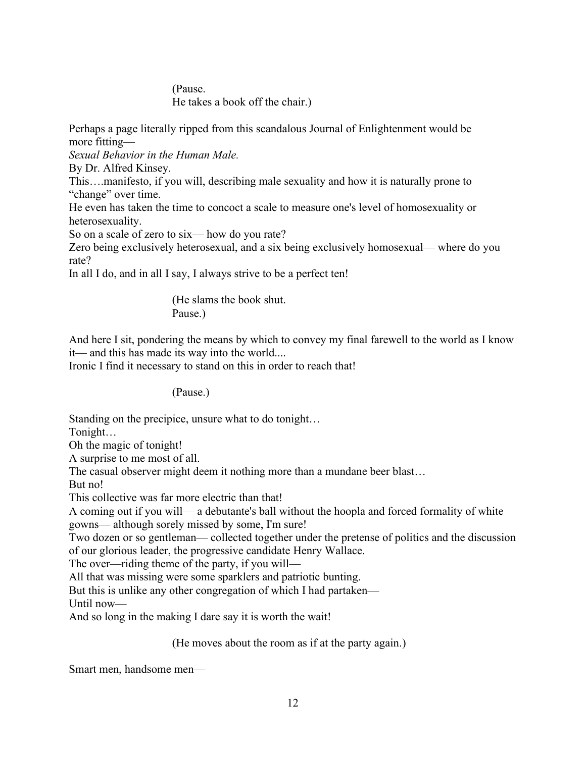(Pause. He takes a book off the chair.)

Perhaps a page literally ripped from this scandalous Journal of Enlightenment would be more fitting—

*Sexual Behavior in the Human Male.*

By Dr. Alfred Kinsey.

This….manifesto, if you will, describing male sexuality and how it is naturally prone to "change" over time.

He even has taken the time to concoct a scale to measure one's level of homosexuality or heterosexuality.

So on a scale of zero to six— how do you rate?

Zero being exclusively heterosexual, and a six being exclusively homosexual— where do you rate?

In all I do, and in all I say, I always strive to be a perfect ten!

 (He slams the book shut. Pause.)

And here I sit, pondering the means by which to convey my final farewell to the world as I know it— and this has made its way into the world....

Ironic I find it necessary to stand on this in order to reach that!

(Pause.)

Standing on the precipice, unsure what to do tonight…

Tonight…

Oh the magic of tonight!

A surprise to me most of all.

The casual observer might deem it nothing more than a mundane beer blast…

But no!

This collective was far more electric than that!

A coming out if you will— a debutante's ball without the hoopla and forced formality of white gowns— although sorely missed by some, I'm sure!

Two dozen or so gentleman— collected together under the pretense of politics and the discussion of our glorious leader, the progressive candidate Henry Wallace.

The over—riding theme of the party, if you will—

All that was missing were some sparklers and patriotic bunting.

But this is unlike any other congregation of which I had partaken—

Until now—

And so long in the making I dare say it is worth the wait!

(He moves about the room as if at the party again.)

Smart men, handsome men—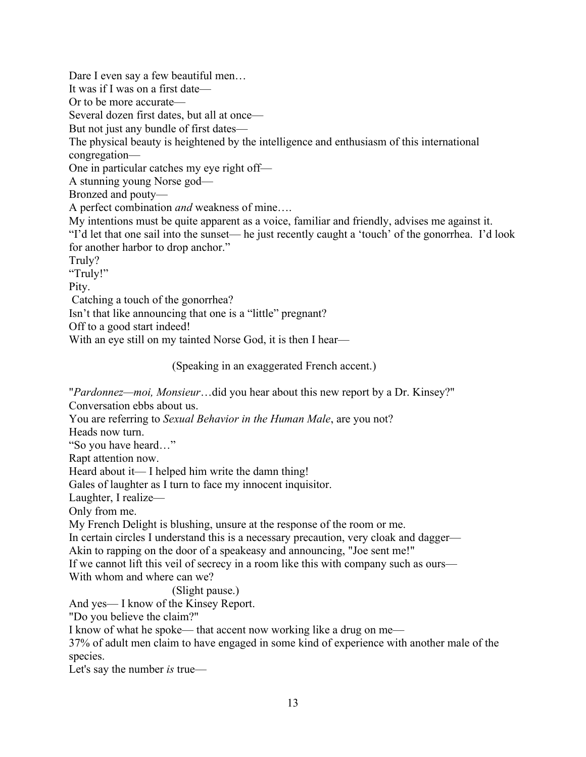Dare I even say a few beautiful men… It was if I was on a first date— Or to be more accurate— Several dozen first dates, but all at once— But not just any bundle of first dates— The physical beauty is heightened by the intelligence and enthusiasm of this international congregation— One in particular catches my eye right off— A stunning young Norse god— Bronzed and pouty— A perfect combination *and* weakness of mine…. My intentions must be quite apparent as a voice, familiar and friendly, advises me against it. "I'd let that one sail into the sunset— he just recently caught a 'touch' of the gonorrhea. I'd look for another harbor to drop anchor." Truly? "Truly!" Pity. Catching a touch of the gonorrhea? Isn't that like announcing that one is a "little" pregnant? Off to a good start indeed!

With an eye still on my tainted Norse God, it is then I hear—

(Speaking in an exaggerated French accent.)

"*Pardonnez—moi, Monsieur*…did you hear about this new report by a Dr. Kinsey?"

Conversation ebbs about us.

You are referring to *Sexual Behavior in the Human Male*, are you not?

Heads now turn.

"So you have heard…"

Rapt attention now.

Heard about it— I helped him write the damn thing!

Gales of laughter as I turn to face my innocent inquisitor.

Laughter, I realize—

Only from me.

My French Delight is blushing, unsure at the response of the room or me.

In certain circles I understand this is a necessary precaution, very cloak and dagger—

Akin to rapping on the door of a speakeasy and announcing, "Joe sent me!"

If we cannot lift this veil of secrecy in a room like this with company such as ours— With whom and where can we?

(Slight pause.)

And yes— I know of the Kinsey Report.

"Do you believe the claim?"

I know of what he spoke— that accent now working like a drug on me—

37% of adult men claim to have engaged in some kind of experience with another male of the species.

Let's say the number *is* true—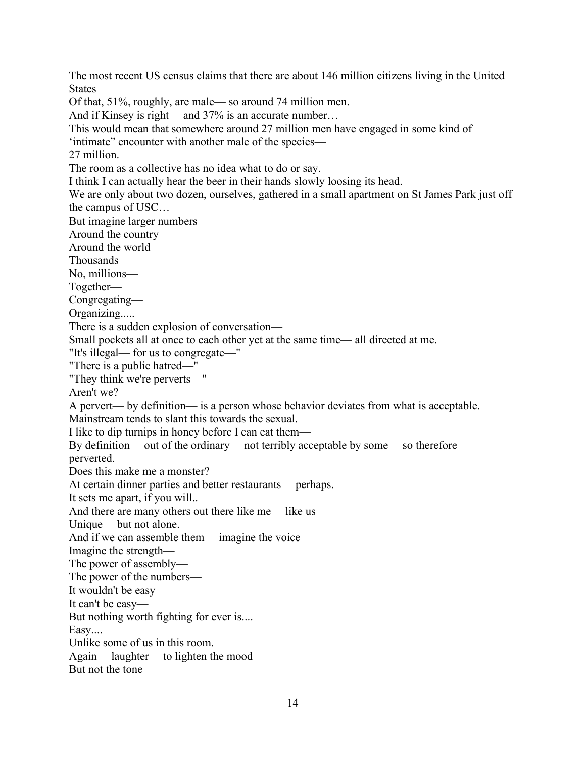The most recent US census claims that there are about 146 million citizens living in the United **States** 

Of that, 51%, roughly, are male— so around 74 million men.

And if Kinsey is right— and 37% is an accurate number...

This would mean that somewhere around 27 million men have engaged in some kind of

'intimate" encounter with another male of the species—

27 million.

The room as a collective has no idea what to do or say.

I think I can actually hear the beer in their hands slowly loosing its head.

We are only about two dozen, ourselves, gathered in a small apartment on St James Park just off the campus of USC…

But imagine larger numbers—

Around the country—

Around the world—

Thousands—

No, millions—

Together—

Congregating—

Organizing.....

There is a sudden explosion of conversation—

Small pockets all at once to each other yet at the same time— all directed at me.

"It's illegal— for us to congregate—"

"There is a public hatred—"

"They think we're perverts—"

Aren't we?

A pervert— by definition— is a person whose behavior deviates from what is acceptable.

Mainstream tends to slant this towards the sexual.

I like to dip turnips in honey before I can eat them—

By definition— out of the ordinary— not terribly acceptable by some— so therefore perverted.

Does this make me a monster?

At certain dinner parties and better restaurants— perhaps.

It sets me apart, if you will..

And there are many others out there like me— like us—

Unique— but not alone.

And if we can assemble them— imagine the voice—

Imagine the strength—

The power of assembly—

The power of the numbers—

It wouldn't be easy—

It can't be easy—

But nothing worth fighting for ever is....

Easy....

Unlike some of us in this room.

Again— laughter— to lighten the mood—

But not the tone—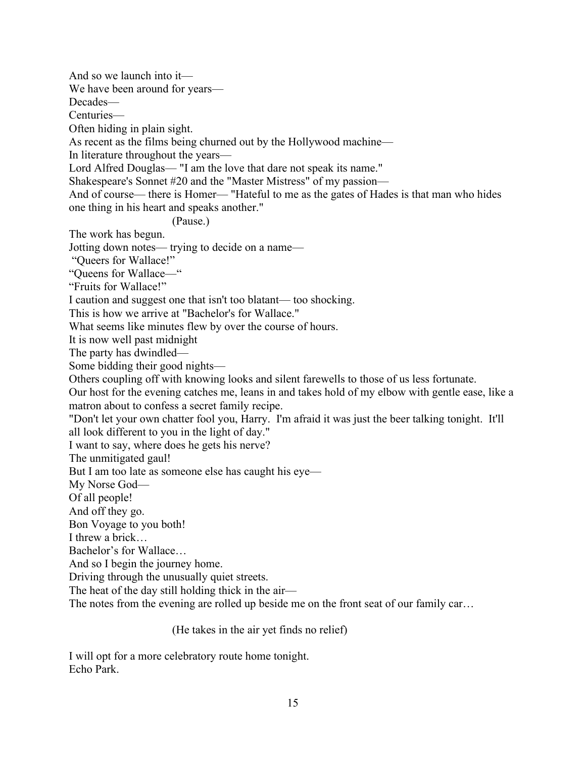And so we launch into it—

We have been around for years—

Decades—

Centuries—

Often hiding in plain sight.

As recent as the films being churned out by the Hollywood machine—

In literature throughout the years—

Lord Alfred Douglas— "I am the love that dare not speak its name."

Shakespeare's Sonnet #20 and the "Master Mistress" of my passion—

And of course— there is Homer— "Hateful to me as the gates of Hades is that man who hides one thing in his heart and speaks another."

(Pause.)

The work has begun.

Jotting down notes— trying to decide on a name—

"Queers for Wallace!"

"Queens for Wallace—"

"Fruits for Wallace!"

I caution and suggest one that isn't too blatant— too shocking.

This is how we arrive at "Bachelor's for Wallace."

What seems like minutes flew by over the course of hours.

It is now well past midnight

The party has dwindled—

Some bidding their good nights—

Others coupling off with knowing looks and silent farewells to those of us less fortunate.

Our host for the evening catches me, leans in and takes hold of my elbow with gentle ease, like a matron about to confess a secret family recipe.

"Don't let your own chatter fool you, Harry. I'm afraid it was just the beer talking tonight. It'll all look different to you in the light of day."

I want to say, where does he gets his nerve?

The unmitigated gaul!

But I am too late as someone else has caught his eye—

My Norse God—

Of all people!

And off they go.

Bon Voyage to you both!

I threw a brick…

Bachelor's for Wallace…

And so I begin the journey home.

Driving through the unusually quiet streets.

The heat of the day still holding thick in the air—

The notes from the evening are rolled up beside me on the front seat of our family car…

(He takes in the air yet finds no relief)

I will opt for a more celebratory route home tonight. Echo Park.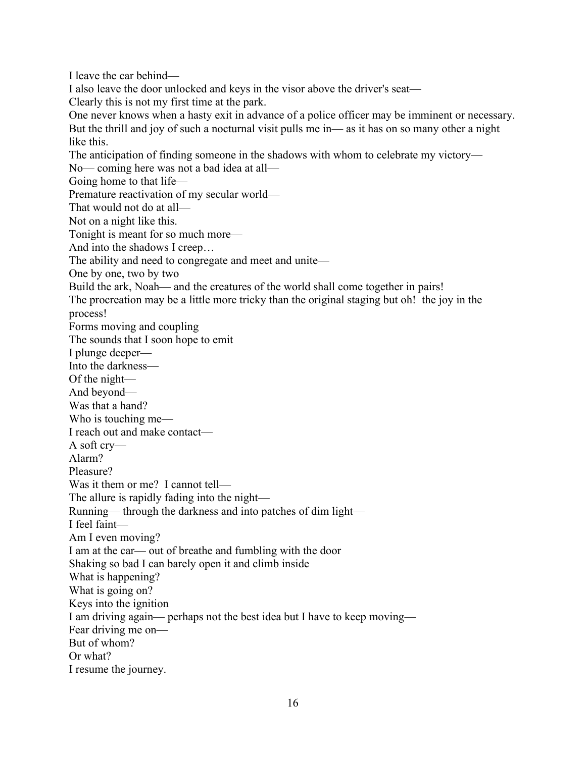I leave the car behind— I also leave the door unlocked and keys in the visor above the driver's seat— Clearly this is not my first time at the park. One never knows when a hasty exit in advance of a police officer may be imminent or necessary. But the thrill and joy of such a nocturnal visit pulls me in— as it has on so many other a night like this. The anticipation of finding someone in the shadows with whom to celebrate my victory— No— coming here was not a bad idea at all— Going home to that life— Premature reactivation of my secular world— That would not do at all— Not on a night like this. Tonight is meant for so much more— And into the shadows I creep… The ability and need to congregate and meet and unite— One by one, two by two Build the ark, Noah— and the creatures of the world shall come together in pairs! The procreation may be a little more tricky than the original staging but oh! the joy in the process! Forms moving and coupling The sounds that I soon hope to emit I plunge deeper— Into the darkness— Of the night— And beyond— Was that a hand? Who is touching me— I reach out and make contact— A soft cry— Alarm? Pleasure? Was it them or me? I cannot tell— The allure is rapidly fading into the night— Running— through the darkness and into patches of dim light— I feel faint— Am I even moving? I am at the car— out of breathe and fumbling with the door Shaking so bad I can barely open it and climb inside What is happening? What is going on? Keys into the ignition I am driving again— perhaps not the best idea but I have to keep moving— Fear driving me on— But of whom? Or what? I resume the journey.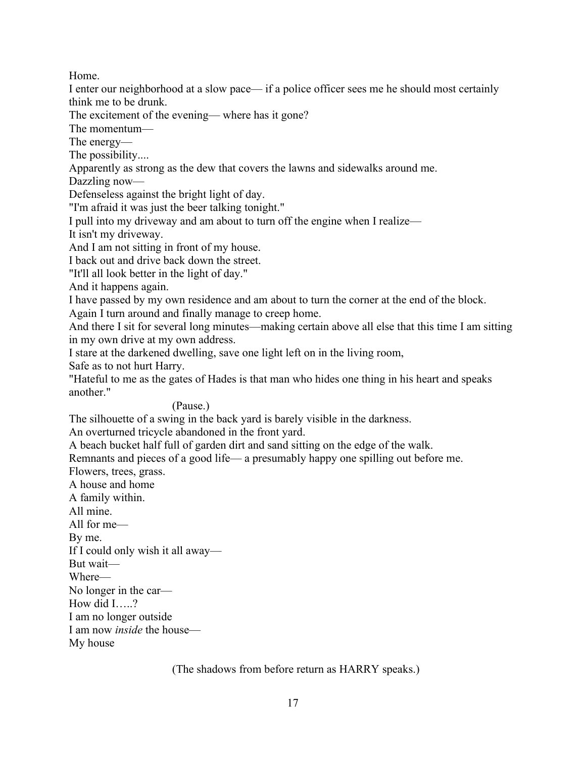Home.

I enter our neighborhood at a slow pace— if a police officer sees me he should most certainly think me to be drunk.

The excitement of the evening— where has it gone?

The momentum—

The energy—

The possibility....

Apparently as strong as the dew that covers the lawns and sidewalks around me.

Dazzling now—

Defenseless against the bright light of day.

"I'm afraid it was just the beer talking tonight."

I pull into my driveway and am about to turn off the engine when I realize—

It isn't my driveway.

And I am not sitting in front of my house.

I back out and drive back down the street.

"It'll all look better in the light of day."

And it happens again.

I have passed by my own residence and am about to turn the corner at the end of the block.

Again I turn around and finally manage to creep home.

And there I sit for several long minutes—making certain above all else that this time I am sitting in my own drive at my own address.

I stare at the darkened dwelling, save one light left on in the living room,

Safe as to not hurt Harry.

"Hateful to me as the gates of Hades is that man who hides one thing in his heart and speaks another."

(Pause.)

The silhouette of a swing in the back yard is barely visible in the darkness.

An overturned tricycle abandoned in the front yard.

A beach bucket half full of garden dirt and sand sitting on the edge of the walk.

Remnants and pieces of a good life— a presumably happy one spilling out before me.

Flowers, trees, grass.

A house and home

A family within.

All mine.

All for me—

By me.

If I could only wish it all away—

But wait—

Where—

No longer in the car—

How did I…..?

I am no longer outside

I am now *inside* the house—

My house

(The shadows from before return as HARRY speaks.)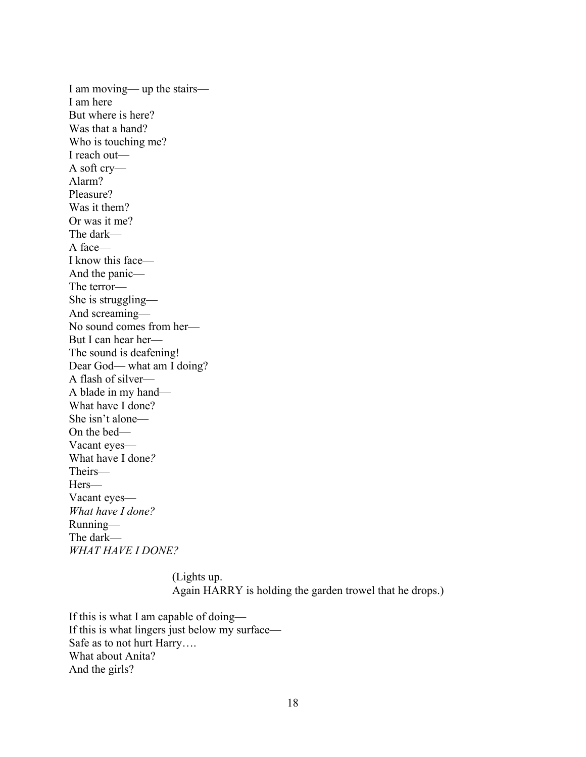I am moving— up the stairs— I am here But where is here? Was that a hand? Who is touching me? I reach out— A soft cry— Alarm? Pleasure? Was it them? Or was it me? The dark— A face— I know this face— And the panic— The terror— She is struggling— And screaming— No sound comes from her— But I can hear her— The sound is deafening! Dear God— what am I doing? A flash of silver— A blade in my hand— What have I done? She isn't alone— On the bed— Vacant eyes— What have I done*?* Theirs— Hers— Vacant eyes— *What have I done?* Running— The dark— *WHAT HAVE I DONE?*

> (Lights up. Again HARRY is holding the garden trowel that he drops.)

If this is what I am capable of doing— If this is what lingers just below my surface— Safe as to not hurt Harry…. What about Anita? And the girls?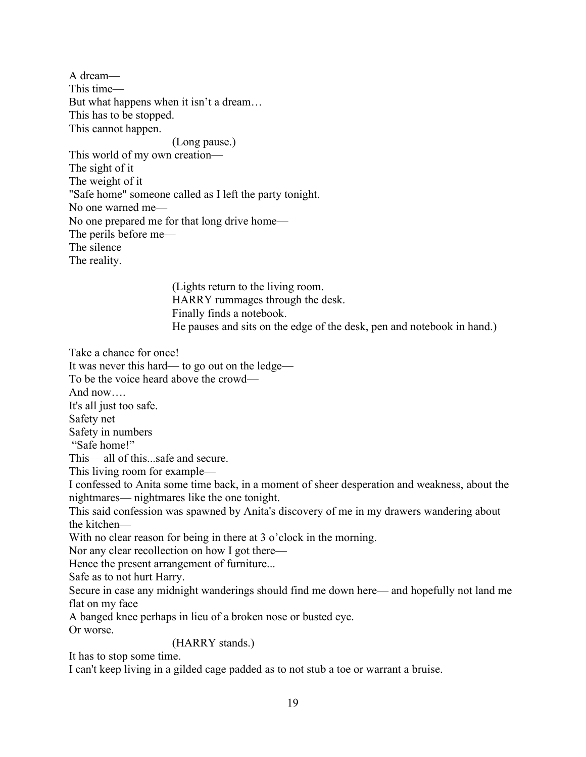A dream— This time— But what happens when it isn't a dream… This has to be stopped. This cannot happen. (Long pause.) This world of my own creation— The sight of it The weight of it "Safe home" someone called as I left the party tonight. No one warned me— No one prepared me for that long drive home— The perils before me— The silence The reality.

(Lights return to the living room. HARRY rummages through the desk. Finally finds a notebook. He pauses and sits on the edge of the desk, pen and notebook in hand.)

Take a chance for once!

It was never this hard— to go out on the ledge—

To be the voice heard above the crowd—

And now….

It's all just too safe.

Safety net

Safety in numbers

"Safe home!"

This— all of this...safe and secure.

This living room for example—

I confessed to Anita some time back, in a moment of sheer desperation and weakness, about the nightmares— nightmares like the one tonight.

This said confession was spawned by Anita's discovery of me in my drawers wandering about the kitchen—

With no clear reason for being in there at 3 o'clock in the morning.

Nor any clear recollection on how I got there—

Hence the present arrangement of furniture...

Safe as to not hurt Harry.

Secure in case any midnight wanderings should find me down here— and hopefully not land me flat on my face

A banged knee perhaps in lieu of a broken nose or busted eye.

Or worse.

(HARRY stands.)

It has to stop some time.

I can't keep living in a gilded cage padded as to not stub a toe or warrant a bruise.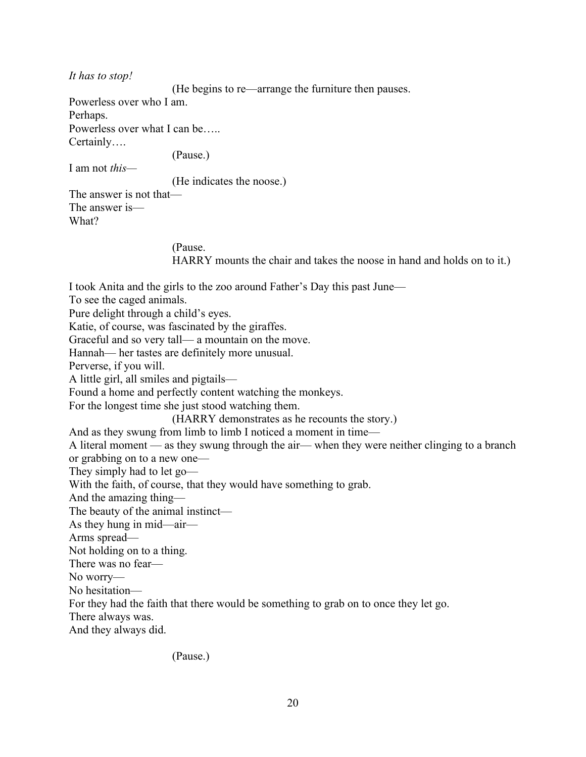*It has to stop!*

I am not *this—*

(He begins to re—arrange the furniture then pauses.

Powerless over who I am. Perhaps.

Powerless over what I can be….. Certainly….

(Pause.)

(He indicates the noose.)

The answer is not that— The answer is— What?

## (Pause.

HARRY mounts the chair and takes the noose in hand and holds on to it.)

I took Anita and the girls to the zoo around Father's Day this past June— To see the caged animals. Pure delight through a child's eyes. Katie, of course, was fascinated by the giraffes. Graceful and so very tall— a mountain on the move. Hannah— her tastes are definitely more unusual. Perverse, if you will. A little girl, all smiles and pigtails— Found a home and perfectly content watching the monkeys. For the longest time she just stood watching them. (HARRY demonstrates as he recounts the story.) And as they swung from limb to limb I noticed a moment in time— A literal moment — as they swung through the air— when they were neither clinging to a branch or grabbing on to a new one— They simply had to let go— With the faith, of course, that they would have something to grab. And the amazing thing— The beauty of the animal instinct— As they hung in mid—air— Arms spread— Not holding on to a thing. There was no fear— No worry— No hesitation— For they had the faith that there would be something to grab on to once they let go. There always was. And they always did.

(Pause.)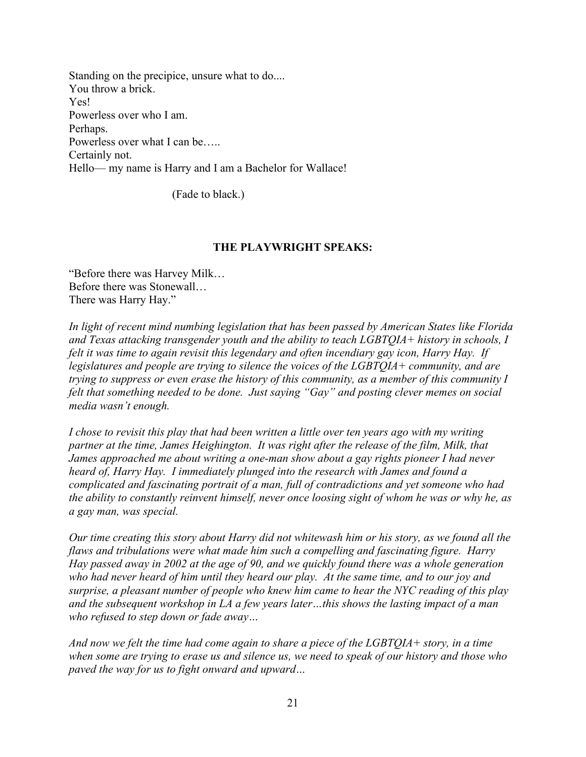Standing on the precipice, unsure what to do.... You throw a brick. Yes! Powerless over who I am. Perhaps. Powerless over what I can be….. Certainly not. Hello— my name is Harry and I am a Bachelor for Wallace!

(Fade to black.)

#### **THE PLAYWRIGHT SPEAKS:**

"Before there was Harvey Milk… Before there was Stonewall… There was Harry Hay."

*In light of recent mind numbing legislation that has been passed by American States like Florida and Texas attacking transgender youth and the ability to teach LGBTQIA+ history in schools, I felt it was time to again revisit this legendary and often incendiary gay icon, Harry Hay. If legislatures and people are trying to silence the voices of the LGBTQIA+ community, and are trying to suppress or even erase the history of this community, as a member of this community I felt that something needed to be done. Just saying "Gay" and posting clever memes on social media wasn't enough.*

*I chose to revisit this play that had been written a little over ten years ago with my writing partner at the time, James Heighington. It was right after the release of the film, Milk, that James approached me about writing a one-man show about a gay rights pioneer I had never heard of, Harry Hay. I immediately plunged into the research with James and found a complicated and fascinating portrait of a man, full of contradictions and yet someone who had the ability to constantly reinvent himself, never once loosing sight of whom he was or why he, as a gay man, was special.*

*Our time creating this story about Harry did not whitewash him or his story, as we found all the flaws and tribulations were what made him such a compelling and fascinating figure. Harry Hay passed away in 2002 at the age of 90, and we quickly found there was a whole generation who had never heard of him until they heard our play. At the same time, and to our joy and surprise, a pleasant number of people who knew him came to hear the NYC reading of this play and the subsequent workshop in LA a few years later…this shows the lasting impact of a man who refused to step down or fade away…*

*And now we felt the time had come again to share a piece of the LGBTQIA+ story, in a time when some are trying to erase us and silence us, we need to speak of our history and those who paved the way for us to fight onward and upward…*